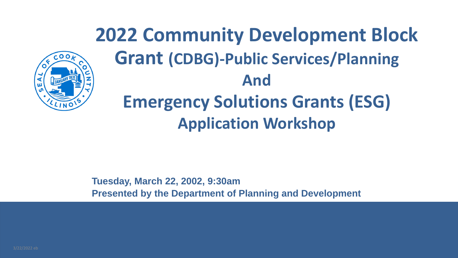**2022 Community Development Block Grant (CDBG)-Public Services/Planning And Emergency Solutions Grants (ESG) Application Workshop**



**Tuesday, March 22, 2002, 9:30am Presented by the Department of Planning and Development**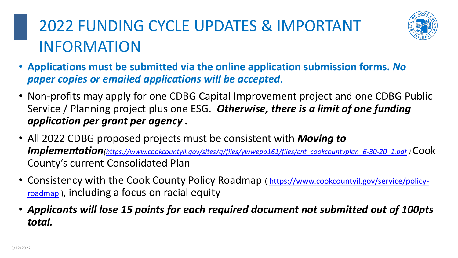### 2022 FUNDING CYCLE UPDATES & IMPORTANT INFORMATION

• Non-profits may apply for one CDBG Capital Improvement project and one CDBG Public Service / Planning project plus one ESG. *Otherwise, there is a limit of one funding* 

- **Applications must be submitted via the online application submission forms.** *No paper copies or emailed applications will be accepted***.**
- *application per grant per agency .*
- All 2022 CDBG proposed projects must be consistent with *Moving to*  County's current Consolidated Plan
- roadmap), including a focus on racial equity
- *total.*

*Implementation[\(https://www.cookcountyil.gov/sites/g/files/ywwepo161/files/cnt\\_cookcountyplan\\_6-30-20\\_1.pdf](https://www.cookcountyil.gov/sites/g/files/ywwepo161/files/cnt_cookcountyplan_6-30-20_1.pdf) )* Cook

• [Consistency with the Cook County Policy Roadmap](https://www.cookcountyil.gov/service/policy-roadmap) (https://www.cookcountyil.gov/service/policy-

• *Applicants will lose 15 points for each required document not submitted out of 100pts* 

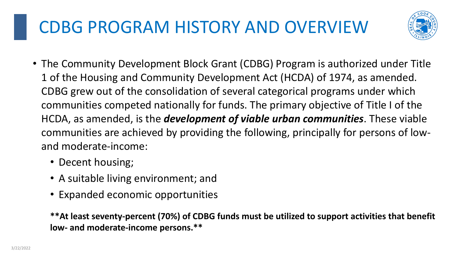# CDBG PROGRAM HISTORY AND OVERVIEW

• The Community Development Block Grant (CDBG) Program is authorized under Title 1 of the Housing and Community Development Act (HCDA) of 1974, as amended. CDBG grew out of the consolidation of several categorical programs under which communities competed nationally for funds. The primary objective of Title I of the HCDA, as amended, is the *development of viable urban communities*. These viable communities are achieved by providing the following, principally for persons of low-

- and moderate-income:
	- Decent housing;
	- A suitable living environment; and
	- Expanded economic opportunities

**\*\*At least seventy-percent (70%) of CDBG funds must be utilized to support activities that benefit low- and moderate-income persons.\*\***

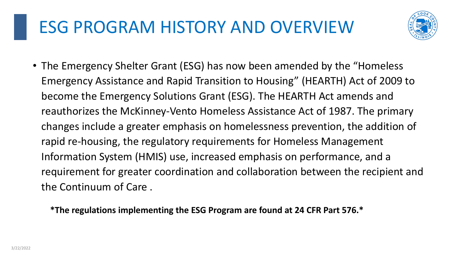# ESG PROGRAM HISTORY AND OVERVIEW

• The Emergency Shelter Grant (ESG) has now been amended by the "Homeless Emergency Assistance and Rapid Transition to Housing" (HEARTH) Act of 2009 to become the Emergency Solutions Grant (ESG). The HEARTH Act amends and reauthorizes the McKinney-Vento Homeless Assistance Act of 1987. The primary changes include a greater emphasis on homelessness prevention, the addition of Information System (HMIS) use, increased emphasis on performance, and a requirement for greater coordination and collaboration between the recipient and

rapid re-housing, the regulatory requirements for Homeless Management the Continuum of Care .

**\*The regulations implementing the ESG Program are found at 24 CFR Part 576.\***

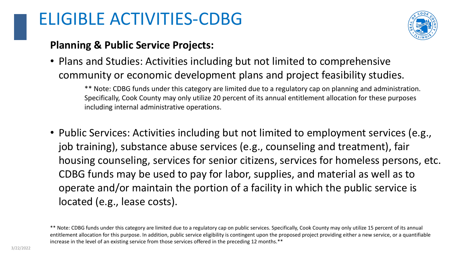### ELIGIBLE ACTIVITIES-CDBG

### **Planning & Public Service Projects:**

### • Plans and Studies: Activities including but not limited to comprehensive community or economic development plans and project feasibility studies.

\*\* Note: CDBG funds under this category are limited due to a regulatory cap on planning and administration. Specifically, Cook County may only utilize 20 percent of its annual entitlement allocation for these purposes including internal administrative operations.

\*\* Note: CDBG funds under this category are limited due to a regulatory cap on public services. Specifically, Cook County may only utilize 15 percent of its annual entitlement allocation for this purpose. In addition, public service eligibility is contingent upon the proposed project providing either a new service, or a quantifiable increase in the level of an existing service from those services offered in the preceding 12 months.\*\*

• Public Services: Activities including but not limited to employment services (e.g., job training), substance abuse services (e.g., counseling and treatment), fair housing counseling, services for senior citizens, services for homeless persons, etc. CDBG funds may be used to pay for labor, supplies, and material as well as to operate and/or maintain the portion of a facility in which the public service is

located (e.g., lease costs).

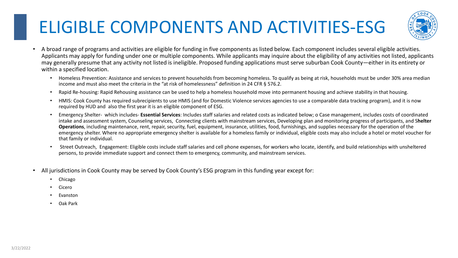# ELIGIBLE COMPONENTS AND ACTIVITIES-ESG

A broad range of programs and activities are eligible for funding in five components as listed below. Each component includes several eligible activities. Applicants may apply for funding under one or multiple components. While applicants may inquire about the eligibility of any activities not listed, applicants may generally presume that any activity not listed is ineligible. Proposed funding applications must serve suburban Cook County—either in its entirety or

• Homeless Prevention: Assistance and services to prevent households from becoming homeless. To qualify as being at risk, households must be under 30% area median

• Rapid Re-housing: Rapid Rehousing assistance can be used to help a homeless household move into permanent housing and achieve stability in that housing.

• HMIS: Cook County has required subrecipients to use HMIS (and for Domestic Violence services agencies to use a comparable data tracking program), and it is now

- within a specified location.
	- income and must also meet the criteria in the "at risk of homelessness" definition in 24 CFR § 576.2.
	-
	- required by HUD and also the first year it is an eligible component of ESG.
	- that family or individual.
	- persons, to provide immediate support and connect them to emergency, community, and mainstream services.
- All jurisdictions in Cook County may be served by Cook County's ESG program in this funding year except for:
	- Chicago
	- **Cicero**
	- **Evanston**
	- Oak Park

• Emergency Shelter- which includes- **Essential Services**: Includes staff salaries and related costs as indicated below; o Case management, includes costs of coordinated intake and assessment system, Counseling services, Connecting clients with mainstream services, Developing plan and monitoring progress of participants, and S**helter Operations**, including maintenance, rent, repair, security, fuel, equipment, insurance, utilities, food, furnishings, and supplies necessary for the operation of the emergency shelter. Where no appropriate emergency shelter is available for a homeless family or individual, eligible costs may also include a hotel or motel voucher for

Street Outreach, Engagement: Eligible costs include staff salaries and cell phone expenses, for workers who locate, identify, and build relationships with unsheltered

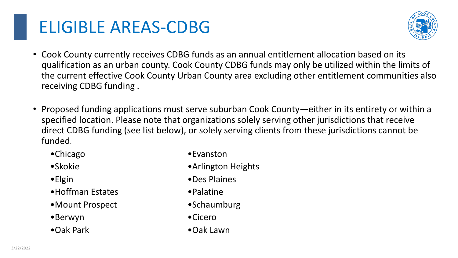# ELIGIBLE AREAS-CDBG

• Cook County currently receives CDBG funds as an annual entitlement allocation based on its qualification as an urban county. Cook County CDBG funds may only be utilized within the limits of the current effective Cook County Urban County area excluding other entitlement communities also

• Proposed funding applications must serve suburban Cook County—either in its entirety or within a specified location. Please note that organizations solely serving other jurisdictions that receive direct CDBG funding (see list below), or solely serving clients from these jurisdictions cannot be

- receiving CDBG funding .
- funded.
	- •Chicago •Evanston
	- •Skokie •Arlington Heights
	- •Elgin •Des Plaines
	- •Hoffman Estates • Palatine
	- •Mount Prospect •Schaumburg
		- •Berwyn •Cicero
		- •Oak Park •Oak Lawn

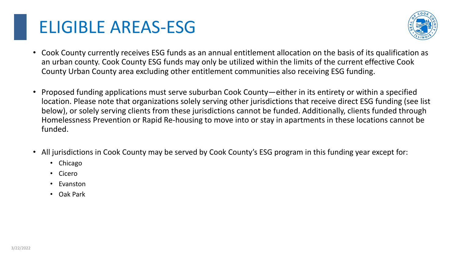# ELIGIBLE AREAS-ESG

• Cook County currently receives ESG funds as an annual entitlement allocation on the basis of its qualification as an urban county. Cook County ESG funds may only be utilized within the limits of the current effective Cook

• Proposed funding applications must serve suburban Cook County—either in its entirety or within a specified location. Please note that organizations solely serving other jurisdictions that receive direct ESG funding (see list below), or solely serving clients from these jurisdictions cannot be funded. Additionally, clients funded through Homelessness Prevention or Rapid Re-housing to move into or stay in apartments in these locations cannot be

- County Urban County area excluding other entitlement communities also receiving ESG funding.
- funded.
- - Chicago
	- Cicero
	- Evanston
	- Oak Park

• All jurisdictions in Cook County may be served by Cook County's ESG program in this funding year except for:

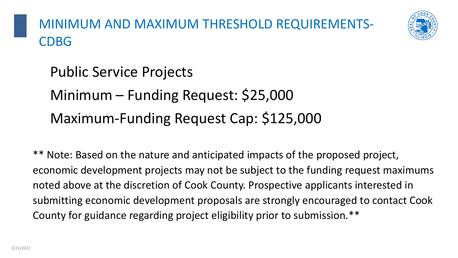MINIMUM AND MAXIMUM THRESHOLD REQUIREMENTS-CDBG

Public Service Projects Minimum – Funding Request: \$25,000 Maximum-Funding Request Cap: \$125,000

\*\* Note: Based on the nature and anticipated impacts of the proposed project, economic development projects may not be subject to the funding request maximums noted above at the discretion of Cook County. Prospective applicants interested in submitting economic development proposals are strongly encouraged to contact Cook County for guidance regarding project eligibility prior to submission.\*\*

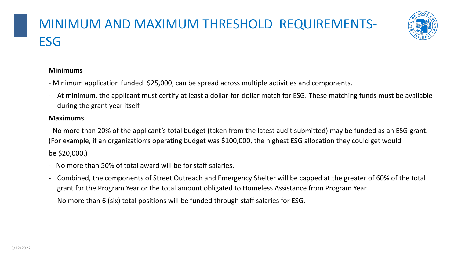### MINIMUM AND MAXIMUM THRESHOLD REQUIREMENTS-**ESG**

### **Minimums**

- Minimum application funded: \$25,000, can be spread across multiple activities and components.
- At minimum, the applicant must certify at least a dollar-for-dollar match for ESG. These matching funds must be available during the grant year itself

- No more than 50% of total award will be for staff salaries.
- Combined, the components of Street Outreach and Emergency Shelter will be capped at the greater of 60% of the total grant for the Program Year or the total amount obligated to Homeless Assistance from Program Year
- No more than 6 (six) total positions will be funded through staff salaries for ESG.

### **Maximums**

- No more than 20% of the applicant's total budget (taken from the latest audit submitted) may be funded as an ESG grant. (For example, if an organization's operating budget was \$100,000, the highest ESG allocation they could get would

be \$20,000.)

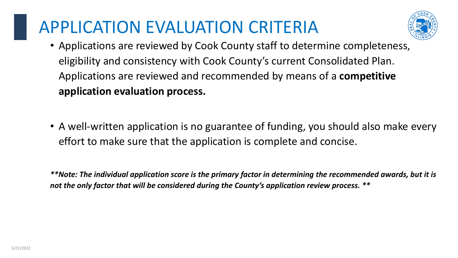# APPLICATION EVALUATION CRITERIA

• Applications are reviewed by Cook County staff to determine completeness, eligibility and consistency with Cook County's current Consolidated Plan. Applications are reviewed and recommended by means of a **competitive** 

• A well-written application is no guarantee of funding, you should also make every





- **application evaluation process.**
- effort to make sure that the application is complete and concise.

*\*\*Note: The individual application score is the primary factor in determining the recommended awards, but it is not the only factor that will be considered during the County's application review process. \*\**

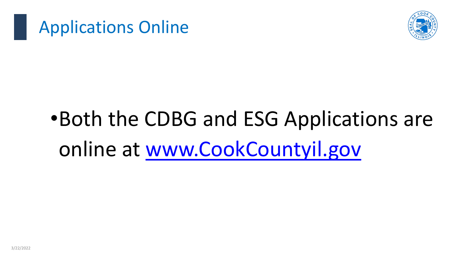

### Applications Online

# •Both the CDBG and ESG Applications are online at [www.CookCountyil.gov](http://www.cookcountyil.gov/)